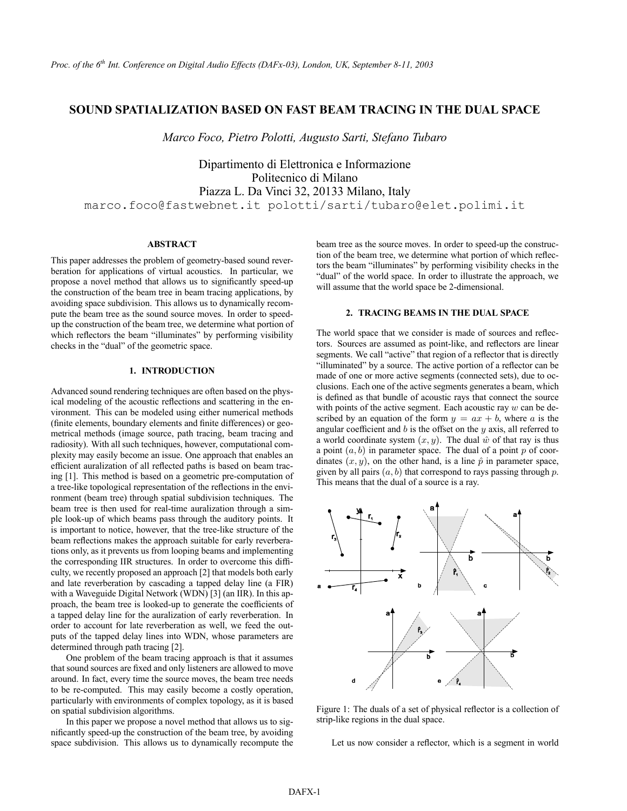# **SOUND SPATIALIZATION BASED ON FAST BEAM TRACING IN THE DUAL SPACE**

*Marco Foco, Pietro Polotti, Augusto Sarti, Stefano Tubaro*

Dipartimento di Elettronica e Informazione Politecnico di Milano Piazza L. Da Vinci 32, 20133 Milano, Italy marco.foco@fastwebnet.it polotti/sarti/tubaro@elet.polimi.it

### **ABSTRACT**

This paper addresses the problem of geometry-based sound reverberation for applications of virtual acoustics. In particular, we propose a novel method that allows us to significantly speed-up the construction of the beam tree in beam tracing applications, by avoiding space subdivision. This allows us to dynamically recompute the beam tree as the sound source moves. In order to speedup the construction of the beam tree, we determine what portion of which reflectors the beam "illuminates" by performing visibility checks in the "dual" of the geometric space.

# **1. INTRODUCTION**

Advanced sound rendering techniques are often based on the physical modeling of the acoustic reflections and scattering in the environment. This can be modeled using either numerical methods (finite elements, boundary elements and finite differences) or geometrical methods (image source, path tracing, beam tracing and radiosity). With all such techniques, however, computational complexity may easily become an issue. One approach that enables an efficient auralization of all reflected paths is based on beam tracing [1]. This method is based on a geometric pre-computation of a tree-like topological representation of the reflections in the environment (beam tree) through spatial subdivision techniques. The beam tree is then used for real-time auralization through a simple look-up of which beams pass through the auditory points. It is important to notice, however, that the tree-like structure of the beam reflections makes the approach suitable for early reverberations only, as it prevents us from looping beams and implementing the corresponding IIR structures. In order to overcome this difficulty, we recently proposed an approach [2] that models both early and late reverberation by cascading a tapped delay line (a FIR) with a Waveguide Digital Network (WDN) [3] (an IIR). In this approach, the beam tree is looked-up to generate the coefficients of a tapped delay line for the auralization of early reverberation. In order to account for late reverberation as well, we feed the outputs of the tapped delay lines into WDN, whose parameters are determined through path tracing [2].

One problem of the beam tracing approach is that it assumes that sound sources are fixed and only listeners are allowed to move around. In fact, every time the source moves, the beam tree needs to be re-computed. This may easily become a costly operation, particularly with environments of complex topology, as it is based on spatial subdivision algorithms.

In this paper we propose a novel method that allows us to significantly speed-up the construction of the beam tree, by avoiding space subdivision. This allows us to dynamically recompute the beam tree as the source moves. In order to speed-up the construction of the beam tree, we determine what portion of which reflectors the beam "illuminates" by performing visibility checks in the "dual" of the world space. In order to illustrate the approach, we will assume that the world space be 2-dimensional.

### **2. TRACING BEAMS IN THE DUAL SPACE**

The world space that we consider is made of sources and reflectors. Sources are assumed as point-like, and reflectors are linear segments. We call "active" that region of a reflector that is directly "illuminated" by a source. The active portion of a reflector can be made of one or more active segments (connected sets), due to occlusions. Each one of the active segments generates a beam, which is defined as that bundle of acoustic rays that connect the source with points of the active segment. Each acoustic ray  $w$  can be described by an equation of the form  $y = ax + b$ , where a is the angular coefficient and  $b$  is the offset on the  $y$  axis, all referred to a world coordinate system  $(x, y)$ . The dual  $\hat{w}$  of that ray is thus a point  $(a, b)$  in parameter space. The dual of a point p of coordinates  $(x, y)$ , on the other hand, is a line  $\hat{p}$  in parameter space, given by all pairs  $(a, b)$  that correspond to rays passing through  $p$ . This means that the dual of a source is a ray.



Figure 1: The duals of a set of physical reflector is a collection of strip-like regions in the dual space.

Let us now consider a reflector, which is a segment in world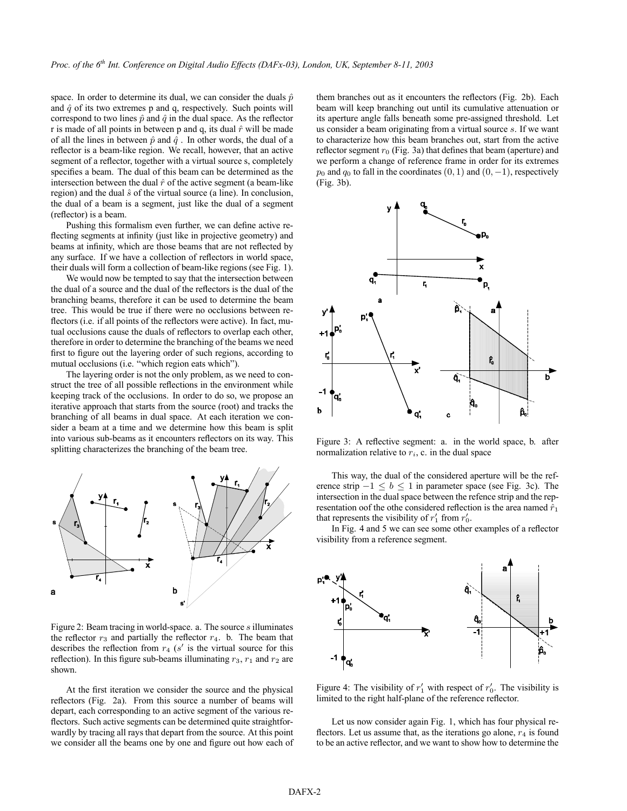space. In order to determine its dual, we can consider the duals  $\hat{p}$ and  $\hat{q}$  of its two extremes p and q, respectively. Such points will correspond to two lines  $\hat{p}$  and  $\hat{q}$  in the dual space. As the reflector r is made of all points in between p and q, its dual  $\hat{r}$  will be made of all the lines in between  $\hat{p}$  and  $\hat{q}$ . In other words, the dual of a reflector is a beam-like region. We recall, however, that an active segment of a reflector, together with a virtual source s, completely specifies a beam. The dual of this beam can be determined as the intersection between the dual  $\hat{r}$  of the active segment (a beam-like region) and the dual  $\hat{s}$  of the virtual source (a line). In conclusion, the dual of a beam is a segment, just like the dual of a segment (reflector) is a beam.

Pushing this formalism even further, we can define active reflecting segments at infinity (just like in projective geometry) and beams at infinity, which are those beams that are not reflected by any surface. If we have a collection of reflectors in world space, their duals will form a collection of beam-like regions (see Fig. 1).

We would now be tempted to say that the intersection between the dual of a source and the dual of the reflectors is the dual of the branching beams, therefore it can be used to determine the beam tree. This would be true if there were no occlusions between reflectors (i.e. if all points of the reflectors were active). In fact, mutual occlusions cause the duals of reflectors to overlap each other, therefore in order to determine the branching of the beams we need first to figure out the layering order of such regions, according to mutual occlusions (i.e. "which region eats which").

The layering order is not the only problem, as we need to construct the tree of all possible reflections in the environment while keeping track of the occlusions. In order to do so, we propose an iterative approach that starts from the source (root) and tracks the branching of all beams in dual space. At each iteration we consider a beam at a time and we determine how this beam is split into various sub-beams as it encounters reflectors on its way. This splitting characterizes the branching of the beam tree.



Figure 2: Beam tracing in world-space. a. The source s illuminates the reflector  $r_3$  and partially the reflector  $r_4$ . b. The beam that describes the reflection from  $r_4$  (s' is the virtual source for this reflection). In this figure sub-beams illuminating  $r_3$ ,  $r_1$  and  $r_2$  are shown.

At the first iteration we consider the source and the physical reflectors (Fig. 2a). From this source a number of beams will depart, each corresponding to an active segment of the various reflectors. Such active segments can be determined quite straightforwardly by tracing all rays that depart from the source. At this point we consider all the beams one by one and figure out how each of

them branches out as it encounters the reflectors (Fig. 2b). Each beam will keep branching out until its cumulative attenuation or its aperture angle falls beneath some pre-assigned threshold. Let us consider a beam originating from a virtual source s. If we want to characterize how this beam branches out, start from the active reflector segment  $r_0$  (Fig. 3a) that defines that beam (aperture) and we perform a change of reference frame in order for its extremes  $p_0$  and  $q_0$  to fall in the coordinates  $(0, 1)$  and  $(0, -1)$ , respectively (Fig. 3b).



Figure 3: A reflective segment: a. in the world space, b. after normalization relative to  $r_i$ , c. in the dual space

This way, the dual of the considered aperture will be the reference strip  $-1 < b < 1$  in parameter space (see Fig. 3c). The intersection in the dual space between the refence strip and the representation oof the othe considered reflection is the area named  $\hat{r}_1$ that represents the visibility of  $r'_1$  from  $r'_0$ .

In Fig. 4 and 5 we can see some other examples of a reflector visibility from a reference segment.



Figure 4: The visibility of  $r_1'$  with respect of  $r_0'$ . The visibility is limited to the right half-plane of the reference reflector.

Let us now consider again Fig. 1, which has four physical reflectors. Let us assume that, as the iterations go alone,  $r<sub>4</sub>$  is found to be an active reflector, and we want to show how to determine the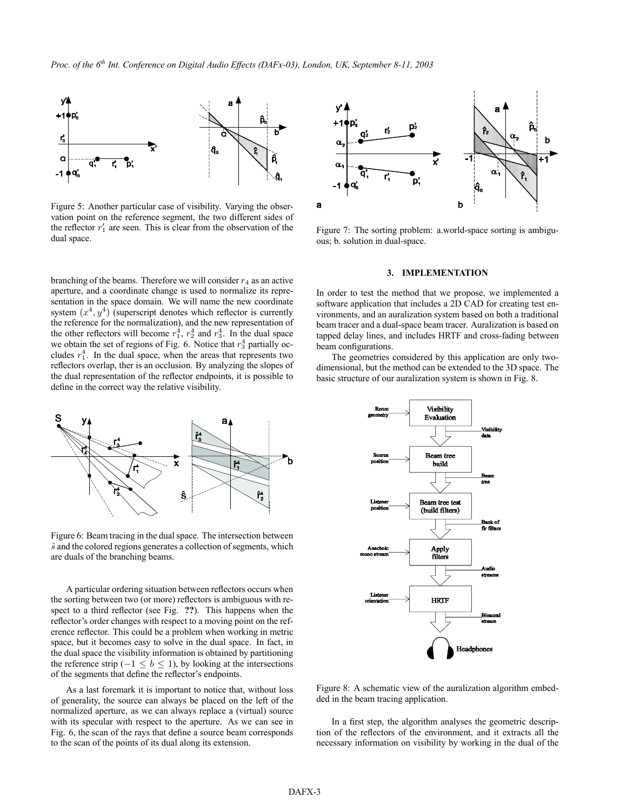

Figure 5: Another particular case of visibility. Varying the observation point on the reference segment, the two different sides of the reflector  $r_1'$  are seen. This is clear from the observation of the dual space.

branching of the beams. Therefore we will consider  $r_4$  as an active aperture, and a coordinate change is used to normalize its representation in the space domain. We will name the new coordinate system  $(x^4, y^4)$  (superscript denotes which reflector is currently the reference for the normalization), and the new representation of the other reflectors will become  $r_1^4$ ,  $r_2^4$  and  $r_3^4$ . In the dual space we obtain the set of regions of Fig. 6. Notice that  $r_3^4$  partially occludes  $r_1^4$ . In the dual space, when the areas that represents two reflectors overlap, ther is an occlusion. By analyzing the slopes of the dual representation of the reflector endpoints, it is possible to define in the correct way the relative visibility.



Figure 6: Beam tracing in the dual space. The intersection between  $\hat{s}$  and the colored regions generates a collection of segments, which are duals of the branching beams.

A particular ordering situation between reflectors occurs when the sorting between two (or more) reflectors is ambiguous with respect to a third reflector (see Fig. **??**). This happens when the reflector's order changes with respect to a moving point on the reference reflector. This could be a problem when working in metric space, but it becomes easy to solve in the dual space. In fact, in the dual space the visibility information is obtained by partitioning the reference strip ( $-1 \leq b \leq 1$ ), by looking at the intersections of the segments that define the reflector's endpoints.

As a last foremark it is important to notice that, without loss of generality, the source can always be placed on the left of the normalized aperture, as we can always replace a (virtual) source with its specular with respect to the aperture. As we can see in Fig. 6, the scan of the rays that define a source beam corresponds to the scan of the points of its dual along its extension.



Figure 7: The sorting problem: a.world-space sorting is ambiguous; b. solution in dual-space.

#### **3. IMPLEMENTATION**

In order to test the method that we propose, we implemented a software application that includes a 2D CAD for creating test environments, and an auralization system based on both a traditional beam tracer and a dual-space beam tracer. Auralization is based on tapped delay lines, and includes HRTF and cross-fading between beam configurations.

The geometries considered by this application are only twodimensional, but the method can be extended to the 3D space. The basic structure of our auralization system is shown in Fig. 8.



Figure 8: A schematic view of the auralization algorithm embedded in the beam tracing application.

In a first step, the algorithm analyses the geometric description of the reflectors of the environment, and it extracts all the necessary information on visibility by working in the dual of the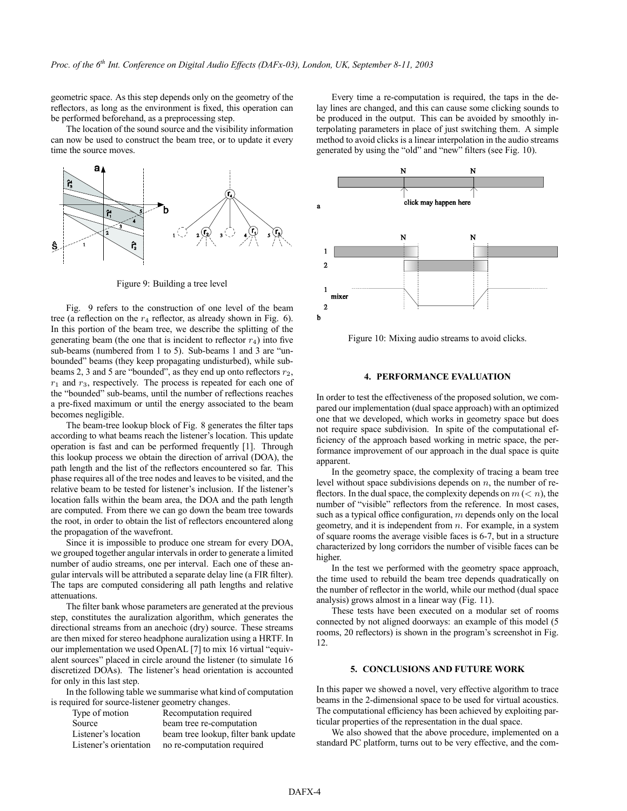geometric space. As this step depends only on the geometry of the reflectors, as long as the environment is fixed, this operation can be performed beforehand, as a preprocessing step.

The location of the sound source and the visibility information can now be used to construct the beam tree, or to update it every time the source moves.



Figure 9: Building a tree level

Fig. 9 refers to the construction of one level of the beam tree (a reflection on the  $r_4$  reflector, as already shown in Fig. 6). In this portion of the beam tree, we describe the splitting of the generating beam (the one that is incident to reflector  $r_4$ ) into five sub-beams (numbered from 1 to 5). Sub-beams 1 and 3 are "unbounded" beams (they keep propagating undisturbed), while subbeams 2, 3 and 5 are "bounded", as they end up onto reflectors  $r_2$ ,  $r_1$  and  $r_3$ , respectively. The process is repeated for each one of the "bounded" sub-beams, until the number of reflections reaches a pre-fixed maximum or until the energy associated to the beam becomes negligible.

The beam-tree lookup block of Fig. 8 generates the filter taps according to what beams reach the listener's location. This update operation is fast and can be performed frequently [1]. Through this lookup process we obtain the direction of arrival (DOA), the path length and the list of the reflectors encountered so far. This phase requires all of the tree nodes and leaves to be visited, and the relative beam to be tested for listener's inclusion. If the listener's location falls within the beam area, the DOA and the path length are computed. From there we can go down the beam tree towards the root, in order to obtain the list of reflectors encountered along the propagation of the wavefront.

Since it is impossible to produce one stream for every DOA, we grouped together angular intervals in order to generate a limited number of audio streams, one per interval. Each one of these angular intervals will be attributed a separate delay line (a FIR filter). The taps are computed considering all path lengths and relative attenuations.

The filter bank whose parameters are generated at the previous step, constitutes the auralization algorithm, which generates the directional streams from an anechoic (dry) source. These streams are then mixed for stereo headphone auralization using a HRTF. In our implementation we used OpenAL [7] to mix 16 virtual "equivalent sources" placed in circle around the listener (to simulate 16 discretized DOAs). The listener's head orientation is accounted for only in this last step.

In the following table we summarise what kind of computation is required for source-listener geometry changes.

| Recomputation required               |
|--------------------------------------|
| beam tree re-computation             |
| beam tree lookup, filter bank update |
| no re-computation required           |
|                                      |

Every time a re-computation is required, the taps in the delay lines are changed, and this can cause some clicking sounds to be produced in the output. This can be avoided by smoothly interpolating parameters in place of just switching them. A simple method to avoid clicks is a linear interpolation in the audio streams generated by using the "old" and "new" filters (see Fig. 10).



Figure 10: Mixing audio streams to avoid clicks.

# **4. PERFORMANCE EVALUATION**

In order to test the effectiveness of the proposed solution, we compared our implementation (dual space approach) with an optimized one that we developed, which works in geometry space but does not require space subdivision. In spite of the computational efficiency of the approach based working in metric space, the performance improvement of our approach in the dual space is quite apparent.

In the geometry space, the complexity of tracing a beam tree level without space subdivisions depends on  $n$ , the number of reflectors. In the dual space, the complexity depends on  $m \, (< n)$ , the number of "visible" reflectors from the reference. In most cases, such as a typical office configuration,  $m$  depends only on the local geometry, and it is independent from  $n$ . For example, in a system of square rooms the average visible faces is 6-7, but in a structure characterized by long corridors the number of visible faces can be higher.

In the test we performed with the geometry space approach, the time used to rebuild the beam tree depends quadratically on the number of reflector in the world, while our method (dual space analysis) grows almost in a linear way (Fig. 11).

These tests have been executed on a modular set of rooms connected by not aligned doorways: an example of this model (5 rooms, 20 reflectors) is shown in the program's screenshot in Fig. 12.

# **5. CONCLUSIONS AND FUTURE WORK**

In this paper we showed a novel, very effective algorithm to trace beams in the 2-dimensional space to be used for virtual acoustics. The computational efficiency has been achieved by exploiting particular properties of the representation in the dual space.

We also showed that the above procedure, implemented on a standard PC platform, turns out to be very effective, and the com-